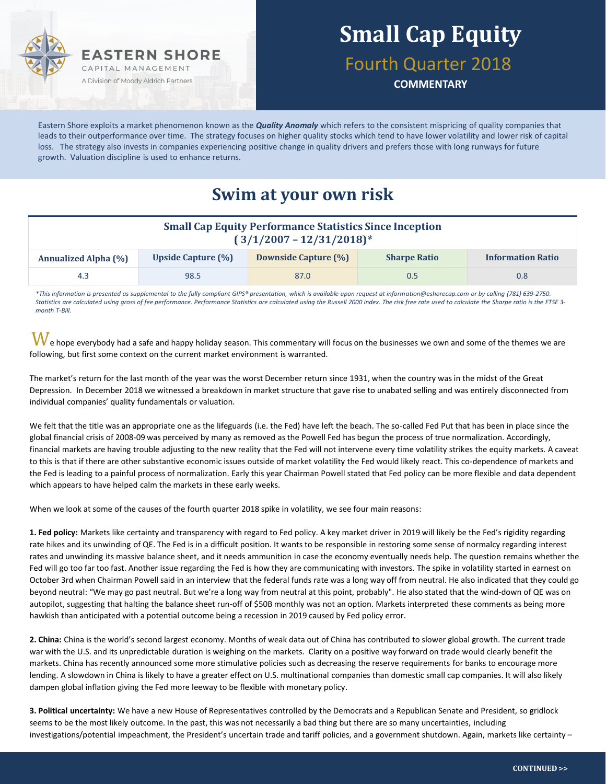

# **Small Cap Equity**

Fourth Quarter 2018

**COMMENTARY**

Eastern Shore exploits a market phenomenon known as the *Quality Anomaly* which refers to the consistent mispricing of quality companies that leads to their outperformance over time. The strategy focuses on higher quality stocks which tend to have lower volatility and lower risk of capital loss. The strategy also invests in companies experiencing positive change in quality drivers and prefers those with long runways for future growth. Valuation discipline is used to enhance returns.

### **Swim at your own risk**

| <b>Small Cap Equity Performance Statistics Since Inception</b><br>$(3/1/2007 - 12/31/2018)^*$ |                           |                             |                     |                          |  |
|-----------------------------------------------------------------------------------------------|---------------------------|-----------------------------|---------------------|--------------------------|--|
| <b>Annualized Alpha (%)</b>                                                                   | <b>Upside Capture (%)</b> | <b>Downside Capture (%)</b> | <b>Sharpe Ratio</b> | <b>Information Ratio</b> |  |
| 4.3                                                                                           | 98.5                      | 87.0                        | 0.5                 | 0.8 <sub>0</sub>         |  |

*\*This information is presented as supplemental to the fully compliant GIPS® presentation, which is available upon request at information@eshorecap.com or by calling (781) 639-2750. Statistics are calculated using gross of fee performance. Performance Statistics are calculated using the Russell 2000 index. The risk free rate used to calculate the Sharpe ratio is the FTSE 3 month T-Bill.*

 $\bf{W}$ e hope everybody had a safe and happy holiday season. This commentary will focus on the businesses we own and some of the themes we are following, but first some context on the current market environment is warranted.

The market's return for the last month of the year was the worst December return since 1931, when the country was in the midst of the Great Depression. In December 2018 we witnessed a breakdown in market structure that gave rise to unabated selling and was entirely disconnected from individual companies' quality fundamentals or valuation.

We felt that the title was an appropriate one as the lifeguards (i.e. the Fed) have left the beach. The so-called Fed Put that has been in place since the global financial crisis of 2008-09 was perceived by many as removed as the Powell Fed has begun the process of true normalization. Accordingly, financial markets are having trouble adjusting to the new reality that the Fed will not intervene every time volatility strikes the equity markets. A caveat to this is that if there are other substantive economic issues outside of market volatility the Fed would likely react. This co-dependence of markets and the Fed is leading to a painful process of normalization. Early this year Chairman Powell stated that Fed policy can be more flexible and data dependent which appears to have helped calm the markets in these early weeks.

When we look at some of the causes of the fourth quarter 2018 spike in volatility, we see four main reasons:

**1. Fed policy:** Markets like certainty and transparency with regard to Fed policy. A key market driver in 2019 will likely be the Fed's rigidity regarding rate hikes and its unwinding of QE. The Fed is in a difficult position. It wants to be responsible in restoring some sense of normalcy regarding interest rates and unwinding its massive balance sheet, and it needs ammunition in case the economy eventually needs help. The question remains whether the Fed will go too far too fast. Another issue regarding the Fed is how they are communicating with investors. The spike in volatility started in earnest on October 3rd when Chairman Powell said in an interview that the federal funds rate was a long way off from neutral. He also indicated that they could go beyond neutral: "We may go past neutral. But we're a long way from neutral at this point, probably". He also stated that the wind-down of QE was on autopilot, suggesting that halting the balance sheet run-off of \$50B monthly was not an option. Markets interpreted these comments as being more hawkish than anticipated with a potential outcome being a recession in 2019 caused by Fed policy error.

**2. China:** China is the world's second largest economy. Months of weak data out of China has contributed to slower global growth. The current trade war with the U.S. and its unpredictable duration is weighing on the markets. Clarity on a positive way forward on trade would clearly benefit the markets. China has recently announced some more stimulative policies such as decreasing the reserve requirements for banks to encourage more lending. A slowdown in China is likely to have a greater effect on U.S. multinational companies than domestic small cap companies. It will also likely dampen global inflation giving the Fed more leeway to be flexible with monetary policy.

**3. Political uncertainty:** We have a new House of Representatives controlled by the Democrats and a Republican Senate and President, so gridlock seems to be the most likely outcome. In the past, this was not necessarily a bad thing but there are so many uncertainties, including investigations/potential impeachment, the President's uncertain trade and tariff policies, and a government shutdown. Again, markets like certainty –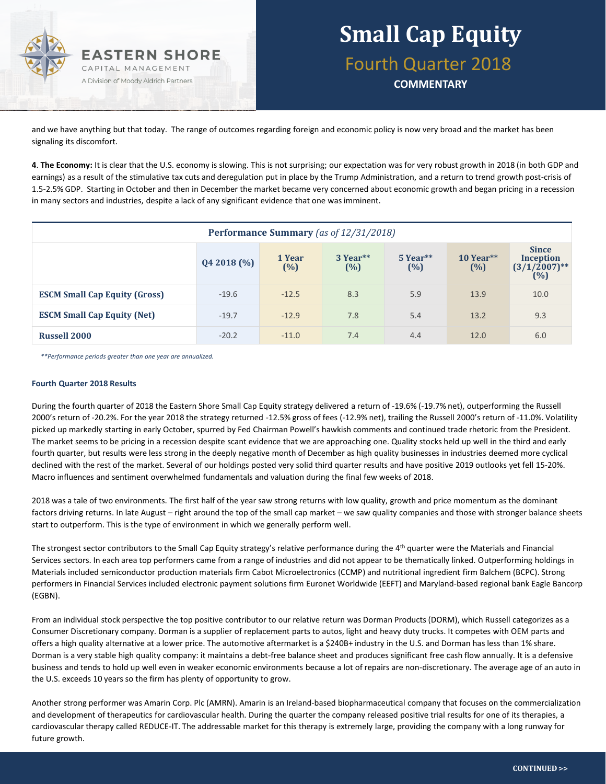

and we have anything but that today. The range of outcomes regarding foreign and economic policy is now very broad and the market has been signaling its discomfort.

**4**. **The Economy:** It is clear that the U.S. economy is slowing. This is not surprising; our expectation was for very robust growth in 2018 (in both GDP and earnings) as a result of the stimulative tax cuts and deregulation put in place by the Trump Administration, and a return to trend growth post-crisis of 1.5-2.5% GDP. Starting in October and then in December the market became very concerned about economic growth and began pricing in a recession in many sectors and industries, despite a lack of any significant evidence that one was imminent.

| Performance Summary (as of 12/31/2018) |           |               |                 |                   |                    |                                                            |
|----------------------------------------|-----------|---------------|-----------------|-------------------|--------------------|------------------------------------------------------------|
|                                        | Q42018(%) | 1 Year<br>(%) | 3 Year**<br>(%) | $5$ Year**<br>(%) | $10$ Year**<br>(%) | <b>Since</b><br><b>Inception</b><br>$(3/1/2007)$ **<br>(%) |
| <b>ESCM Small Cap Equity (Gross)</b>   | $-19.6$   | $-12.5$       | 8.3             | 5.9               | 13.9               | 10.0                                                       |
| <b>ESCM Small Cap Equity (Net)</b>     | $-19.7$   | $-12.9$       | 7.8             | 5.4               | 13.2               | 9.3                                                        |
| <b>Russell 2000</b>                    | $-20.2$   | $-11.0$       | 7.4             | 4.4               | 12.0               | 6.0                                                        |

*\*\*Performance periods greater than one year are annualized.*

#### **Fourth Quarter 2018 Results**

During the fourth quarter of 2018 the Eastern Shore Small Cap Equity strategy delivered a return of -19.6% (-19.7% net), outperforming the Russell 2000's return of -20.2%. For the year 2018 the strategy returned -12.5% gross of fees (-12.9% net), trailing the Russell 2000's return of -11.0%. Volatility picked up markedly starting in early October, spurred by Fed Chairman Powell's hawkish comments and continued trade rhetoric from the President. The market seems to be pricing in a recession despite scant evidence that we are approaching one. Quality stocks held up well in the third and early fourth quarter, but results were less strong in the deeply negative month of December as high quality businesses in industries deemed more cyclical declined with the rest of the market. Several of our holdings posted very solid third quarter results and have positive 2019 outlooks yet fell 15-20%. Macro influences and sentiment overwhelmed fundamentals and valuation during the final few weeks of 2018.

2018 was a tale of two environments. The first half of the year saw strong returns with low quality, growth and price momentum as the dominant factors driving returns. In late August – right around the top of the small cap market – we saw quality companies and those with stronger balance sheets start to outperform. This is the type of environment in which we generally perform well.

The strongest sector contributors to the Small Cap Equity strategy's relative performance during the 4<sup>th</sup> quarter were the Materials and Financial Services sectors. In each area top performers came from a range of industries and did not appear to be thematically linked. Outperforming holdings in Materials included semiconductor production materials firm Cabot Microelectronics (CCMP) and nutritional ingredient firm Balchem (BCPC). Strong performers in Financial Services included electronic payment solutions firm Euronet Worldwide (EEFT) and Maryland-based regional bank Eagle Bancorp (EGBN).

From an individual stock perspective the top positive contributor to our relative return was Dorman Products (DORM), which Russell categorizes as a Consumer Discretionary company. Dorman is a supplier of replacement parts to autos, light and heavy duty trucks. It competes with OEM parts and offers a high quality alternative at a lower price. The automotive aftermarket is a \$240B+ industry in the U.S. and Dorman has less than 1% share. Dorman is a very stable high quality company: it maintains a debt-free balance sheet and produces significant free cash flow annually. It is a defensive business and tends to hold up well even in weaker economic environments because a lot of repairs are non-discretionary. The average age of an auto in the U.S. exceeds 10 years so the firm has plenty of opportunity to grow.

Another strong performer was Amarin Corp. Plc (AMRN). Amarin is an Ireland-based biopharmaceutical company that focuses on the commercialization and development of therapeutics for cardiovascular health. During the quarter the company released positive trial results for one of its therapies, a cardiovascular therapy called REDUCE-IT. The addressable market for this therapy is extremely large, providing the company with a long runway for future growth.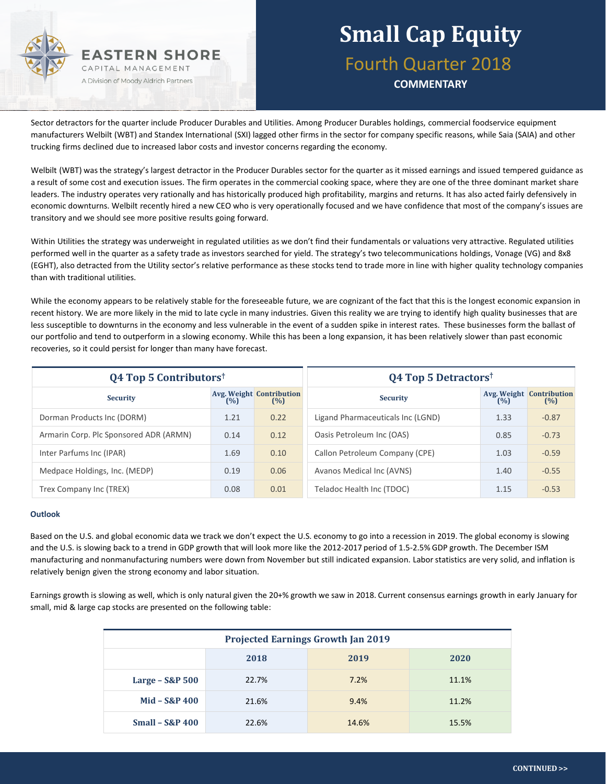

### **Small Cap Equity** Fourth Quarter 2018 **COMMENTARY**

Sector detractors for the quarter include Producer Durables and Utilities. Among Producer Durables holdings, commercial foodservice equipment manufacturers Welbilt (WBT) and Standex International (SXI) lagged other firms in the sector for company specific reasons, while Saia (SAIA) and other trucking firms declined due to increased labor costs and investor concerns regarding the economy.

Welbilt (WBT) was the strategy's largest detractor in the Producer Durables sector for the quarter as it missed earnings and issued tempered guidance as a result of some cost and execution issues. The firm operates in the commercial cooking space, where they are one of the three dominant market share leaders. The industry operates very rationally and has historically produced high profitability, margins and returns. It has also acted fairly defensively in economic downturns. Welbilt recently hired a new CEO who is very operationally focused and we have confidence that most of the company's issues are transitory and we should see more positive results going forward.

Within Utilities the strategy was underweight in regulated utilities as we don't find their fundamentals or valuations very attractive. Regulated utilities performed well in the quarter as a safety trade as investors searched for yield. The strategy's two telecommunications holdings, Vonage (VG) and 8x8 (EGHT), also detracted from the Utility sector's relative performance as these stocks tend to trade more in line with higher quality technology companies than with traditional utilities.

While the economy appears to be relatively stable for the foreseeable future, we are cognizant of the fact that this is the longest economic expansion in recent history. We are more likely in the mid to late cycle in many industries. Given this reality we are trying to identify high quality businesses that are less susceptible to downturns in the economy and less vulnerable in the event of a sudden spike in interest rates. These businesses form the ballast of our portfolio and tend to outperform in a slowing economy. While this has been a long expansion, it has been relatively slower than past economic recoveries, so it could persist for longer than many have forecast.

| $Q4$ Top 5 Contributors <sup>†</sup>   |      | <b>Q4 Top 5 Detractors</b> <sup>†</sup> |                                   |      |                                        |
|----------------------------------------|------|-----------------------------------------|-----------------------------------|------|----------------------------------------|
| <b>Security</b>                        | (%)  | <b>Avg. Weight Contribution</b><br>(%)  | <b>Security</b>                   | (%)  | <b>Avg. Weight Contribution</b><br>(%) |
| Dorman Products Inc (DORM)             | 1.21 | 0.22                                    | Ligand Pharmaceuticals Inc (LGND) | 1.33 | $-0.87$                                |
| Armarin Corp. Plc Sponsored ADR (ARMN) | 0.14 | 0.12                                    | Oasis Petroleum Inc (OAS)         | 0.85 | $-0.73$                                |
| Inter Parfums Inc (IPAR)               | 1.69 | 0.10                                    | Callon Petroleum Company (CPE)    | 1.03 | $-0.59$                                |
| Medpace Holdings, Inc. (MEDP)          | 0.19 | 0.06                                    | Avanos Medical Inc (AVNS)         | 1.40 | $-0.55$                                |
| Trex Company Inc (TREX)                | 0.08 | 0.01                                    | Teladoc Health Inc (TDOC)         | 1.15 | $-0.53$                                |

#### **Outlook**

Based on the U.S. and global economic data we track we don't expect the U.S. economy to go into a recession in 2019. The global economy is slowing and the U.S. is slowing back to a trend in GDP growth that will look more like the 2012-2017 period of 1.5-2.5% GDP growth. The December ISM manufacturing and nonmanufacturing numbers were down from November but still indicated expansion. Labor statistics are very solid, and inflation is relatively benign given the strong economy and labor situation.

Earnings growth is slowing as well, which is only natural given the 20+% growth we saw in 2018. Current consensus earnings growth in early January for small, mid & large cap stocks are presented on the following table:

| <b>Projected Earnings Growth Jan 2019</b> |       |       |       |  |  |
|-------------------------------------------|-------|-------|-------|--|--|
|                                           | 2018  | 2019  | 2020  |  |  |
| Large - S&P 500                           | 22.7% | 7.2%  | 11.1% |  |  |
| $Mid - S&P 400$                           | 21.6% | 9.4%  | 11.2% |  |  |
| <b>Small - S&amp;P 400</b>                | 22.6% | 14.6% | 15.5% |  |  |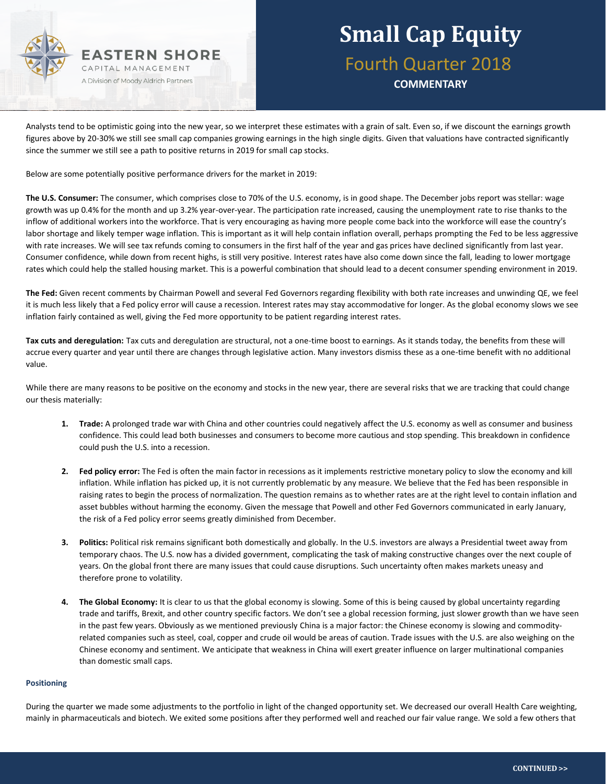

## **Small Cap Equity** Fourth Quarter 2018

**COMMENTARY**

Analysts tend to be optimistic going into the new year, so we interpret these estimates with a grain of salt. Even so, if we discount the earnings growth figures above by 20-30% we still see small cap companies growing earnings in the high single digits. Given that valuations have contracted significantly since the summer we still see a path to positive returns in 2019 for small cap stocks.

Below are some potentially positive performance drivers for the market in 2019:

**The U.S. Consumer:** The consumer, which comprises close to 70% of the U.S. economy, is in good shape. The December jobs report was stellar: wage growth was up 0.4% for the month and up 3.2% year-over-year. The participation rate increased, causing the unemployment rate to rise thanks to the inflow of additional workers into the workforce. That is very encouraging as having more people come back into the workforce will ease the country's labor shortage and likely temper wage inflation. This is important as it will help contain inflation overall, perhaps prompting the Fed to be less aggressive with rate increases. We will see tax refunds coming to consumers in the first half of the year and gas prices have declined significantly from last year. Consumer confidence, while down from recent highs, is still very positive. Interest rates have also come down since the fall, leading to lower mortgage rates which could help the stalled housing market. This is a powerful combination that should lead to a decent consumer spending environment in 2019.

**The Fed:** Given recent comments by Chairman Powell and several Fed Governors regarding flexibility with both rate increases and unwinding QE, we feel it is much less likely that a Fed policy error will cause a recession. Interest rates may stay accommodative for longer. As the global economy slows we see inflation fairly contained as well, giving the Fed more opportunity to be patient regarding interest rates.

**Tax cuts and deregulation:** Tax cuts and deregulation are structural, not a one-time boost to earnings. As it stands today, the benefits from these will accrue every quarter and year until there are changes through legislative action. Many investors dismiss these as a one-time benefit with no additional value.

While there are many reasons to be positive on the economy and stocks in the new year, there are several risks that we are tracking that could change our thesis materially:

- **1. Trade:** A prolonged trade war with China and other countries could negatively affect the U.S. economy as well as consumer and business confidence. This could lead both businesses and consumers to become more cautious and stop spending. This breakdown in confidence could push the U.S. into a recession.
- **2. Fed policy error:** The Fed is often the main factor in recessions as it implements restrictive monetary policy to slow the economy and kill inflation. While inflation has picked up, it is not currently problematic by any measure. We believe that the Fed has been responsible in raising rates to begin the process of normalization. The question remains as to whether rates are at the right level to contain inflation and asset bubbles without harming the economy. Given the message that Powell and other Fed Governors communicated in early January, the risk of a Fed policy error seems greatly diminished from December.
- **3. Politics:** Political risk remains significant both domestically and globally. In the U.S. investors are always a Presidential tweet away from temporary chaos. The U.S. now has a divided government, complicating the task of making constructive changes over the next couple of years. On the global front there are many issues that could cause disruptions. Such uncertainty often makes markets uneasy and therefore prone to volatility.
- **4. The Global Economy:** It is clear to us that the global economy is slowing. Some of this is being caused by global uncertainty regarding trade and tariffs, Brexit, and other country specific factors. We don't see a global recession forming, just slower growth than we have seen in the past few years. Obviously as we mentioned previously China is a major factor: the Chinese economy is slowing and commodityrelated companies such as steel, coal, copper and crude oil would be areas of caution. Trade issues with the U.S. are also weighing on the Chinese economy and sentiment. We anticipate that weakness in China will exert greater influence on larger multinational companies than domestic small caps.

#### **Positioning**

During the quarter we made some adjustments to the portfolio in light of the changed opportunity set. We decreased our overall Health Care weighting, mainly in pharmaceuticals and biotech. We exited some positions after they performed well and reached our fair value range. We sold a few others that